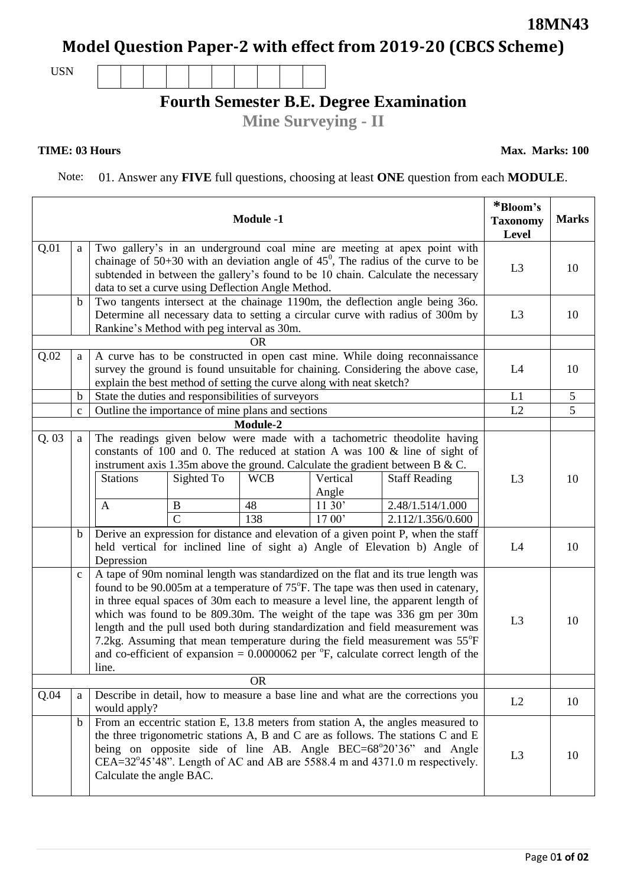#### Page 0**1 of 02**

# **Model Question Paper-2 with effect from 2019-20 (CBCS Scheme)**

USN

# **Fourth Semester B.E. Degree Examination**

**Mine Surveying - II**

### **TIME: 03 Hours**

**Max. Marks: 100**

Note: 01. Answer any **FIVE** full questions, choosing at least **ONE** question from each **MODULE**.

| <b>Module -1</b> |                                                                                                                                                                                                     |                                                                                                                                                                                                                                                                                                                                                   |                |            |          | *Bloom's<br><b>Taxonomy</b><br>Level | <b>Marks</b>   |                |
|------------------|-----------------------------------------------------------------------------------------------------------------------------------------------------------------------------------------------------|---------------------------------------------------------------------------------------------------------------------------------------------------------------------------------------------------------------------------------------------------------------------------------------------------------------------------------------------------|----------------|------------|----------|--------------------------------------|----------------|----------------|
| Q.01             | Two gallery's in an underground coal mine are meeting at apex point with<br>a                                                                                                                       |                                                                                                                                                                                                                                                                                                                                                   |                |            |          |                                      |                |                |
|                  |                                                                                                                                                                                                     | chainage of $50+30$ with an deviation angle of $45^{\circ}$ , The radius of the curve to be<br>subtended in between the gallery's found to be 10 chain. Calculate the necessary                                                                                                                                                                   |                |            |          |                                      |                | 10             |
|                  |                                                                                                                                                                                                     | data to set a curve using Deflection Angle Method.                                                                                                                                                                                                                                                                                                |                |            |          |                                      |                |                |
|                  | $\mathbf b$                                                                                                                                                                                         | Two tangents intersect at the chainage 1190m, the deflection angle being 360.                                                                                                                                                                                                                                                                     |                |            |          |                                      |                |                |
|                  |                                                                                                                                                                                                     | Determine all necessary data to setting a circular curve with radius of 300m by                                                                                                                                                                                                                                                                   |                |            |          |                                      |                | 10             |
|                  | Rankine's Method with peg interval as 30m.<br><b>OR</b>                                                                                                                                             |                                                                                                                                                                                                                                                                                                                                                   |                |            |          |                                      |                |                |
| Q.02             | A curve has to be constructed in open cast mine. While doing reconnaissance<br>a                                                                                                                    |                                                                                                                                                                                                                                                                                                                                                   |                |            |          |                                      |                |                |
|                  | survey the ground is found unsuitable for chaining. Considering the above case,                                                                                                                     |                                                                                                                                                                                                                                                                                                                                                   |                |            |          |                                      | L4             | 10             |
|                  | explain the best method of setting the curve along with neat sketch?                                                                                                                                |                                                                                                                                                                                                                                                                                                                                                   |                |            |          |                                      | L1             |                |
|                  | $\mathbf b$                                                                                                                                                                                         | State the duties and responsibilities of surveyors<br>Outline the importance of mine plans and sections                                                                                                                                                                                                                                           |                |            |          |                                      |                | $\mathfrak{S}$ |
|                  | $\mathbf c$                                                                                                                                                                                         |                                                                                                                                                                                                                                                                                                                                                   |                |            |          |                                      | L2             | 5              |
|                  | Module-2<br>The readings given below were made with a tachometric theodolite having                                                                                                                 |                                                                                                                                                                                                                                                                                                                                                   |                |            |          |                                      |                |                |
| Q.03             | a                                                                                                                                                                                                   |                                                                                                                                                                                                                                                                                                                                                   |                |            |          |                                      |                |                |
|                  | constants of 100 and 0. The reduced at station A was 100 & line of sight of<br>instrument axis 1.35m above the ground. Calculate the gradient between B & C.                                        |                                                                                                                                                                                                                                                                                                                                                   |                |            |          |                                      |                |                |
|                  |                                                                                                                                                                                                     | <b>Stations</b>                                                                                                                                                                                                                                                                                                                                   | Sighted To     | <b>WCB</b> | Vertical | <b>Staff Reading</b>                 | L <sub>3</sub> | 10             |
|                  |                                                                                                                                                                                                     |                                                                                                                                                                                                                                                                                                                                                   |                |            | Angle    |                                      |                |                |
|                  |                                                                                                                                                                                                     | $\mathbf{A}$                                                                                                                                                                                                                                                                                                                                      | B              | 48         | 11 30'   | 2.48/1.514/1.000                     |                |                |
|                  |                                                                                                                                                                                                     |                                                                                                                                                                                                                                                                                                                                                   | $\overline{C}$ | 138        | 17 00'   | 2.112/1.356/0.600                    |                |                |
|                  | Derive an expression for distance and elevation of $\overline{a}$ given point P, when the staff<br>$\mathbf b$                                                                                      |                                                                                                                                                                                                                                                                                                                                                   |                |            |          |                                      |                |                |
|                  |                                                                                                                                                                                                     | held vertical for inclined line of sight a) Angle of Elevation b) Angle of                                                                                                                                                                                                                                                                        |                |            |          |                                      | L4             | 10             |
|                  | Depression<br>A tape of 90m nominal length was standardized on the flat and its true length was<br>$\mathbf c$<br>found to be 90.005m at a temperature of 75°F. The tape was then used in catenary, |                                                                                                                                                                                                                                                                                                                                                   |                |            |          |                                      |                |                |
|                  |                                                                                                                                                                                                     |                                                                                                                                                                                                                                                                                                                                                   |                |            |          |                                      |                |                |
|                  | in three equal spaces of 30m each to measure a level line, the apparent length of<br>which was found to be 809.30m. The weight of the tape was 336 gm per 30m                                       |                                                                                                                                                                                                                                                                                                                                                   |                |            |          |                                      |                |                |
|                  |                                                                                                                                                                                                     |                                                                                                                                                                                                                                                                                                                                                   |                |            |          |                                      | L <sub>3</sub> | 10             |
|                  |                                                                                                                                                                                                     | length and the pull used both during standardization and field measurement was<br>7.2kg. Assuming that mean temperature during the field measurement was 55°F                                                                                                                                                                                     |                |            |          |                                      |                |                |
|                  |                                                                                                                                                                                                     |                                                                                                                                                                                                                                                                                                                                                   |                |            |          |                                      |                |                |
|                  | and co-efficient of expansion = $0.0000062$ per $\degree$ F, calculate correct length of the<br>line.                                                                                               |                                                                                                                                                                                                                                                                                                                                                   |                |            |          |                                      |                |                |
|                  |                                                                                                                                                                                                     |                                                                                                                                                                                                                                                                                                                                                   |                | <b>OR</b>  |          |                                      |                |                |
| Q.04             | Describe in detail, how to measure a base line and what are the corrections you<br>a<br>would apply?                                                                                                |                                                                                                                                                                                                                                                                                                                                                   |                |            |          | L2                                   | 10             |                |
|                  | $\mathbf b$                                                                                                                                                                                         | From an eccentric station E, 13.8 meters from station A, the angles measured to<br>the three trigonometric stations A, B and C are as follows. The stations C and E<br>being on opposite side of line AB. Angle BEC=68°20'36" and Angle<br>CEA=32°45'48". Length of AC and AB are 5588.4 m and 4371.0 m respectively.<br>Calculate the angle BAC. |                |            |          |                                      | L <sub>3</sub> | 10             |

**18MN43**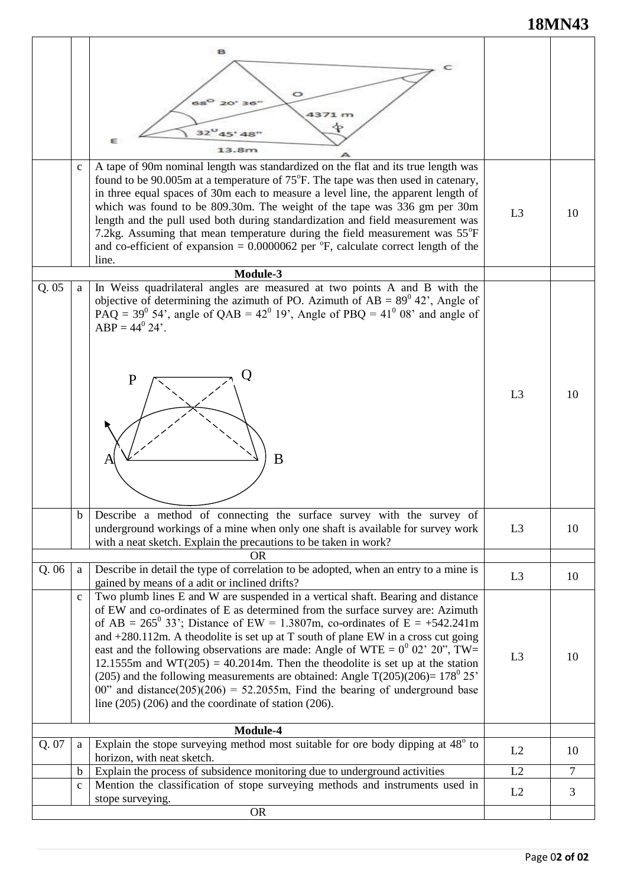## **18MN43**

|       | $\mathbf{C}$               | $68^\circ$<br>20' 36"<br>4371 m<br>32<br>Ε<br>13.8m<br>A tape of 90m nominal length was standardized on the flat and its true length was<br>found to be 90.005m at a temperature of 75°F. The tape was then used in catenary,<br>in three equal spaces of 30m each to measure a level line, the apparent length of<br>which was found to be 809.30m. The weight of the tape was 336 gm per 30m                                                                                                                                                                                                                                                                                                                                                                | L3             |        |
|-------|----------------------------|---------------------------------------------------------------------------------------------------------------------------------------------------------------------------------------------------------------------------------------------------------------------------------------------------------------------------------------------------------------------------------------------------------------------------------------------------------------------------------------------------------------------------------------------------------------------------------------------------------------------------------------------------------------------------------------------------------------------------------------------------------------|----------------|--------|
|       |                            | length and the pull used both during standardization and field measurement was<br>7.2kg. Assuming that mean temperature during the field measurement was 55°F<br>and co-efficient of expansion = $0.0000062$ per $\degree$ F, calculate correct length of the<br>line.<br>Module-3                                                                                                                                                                                                                                                                                                                                                                                                                                                                            |                | 10     |
| Q.05  | a                          | In Weiss quadrilateral angles are measured at two points A and B with the<br>objective of determining the azimuth of PO. Azimuth of $AB = 89^{\circ} 42^{\circ}$ , Angle of<br>$\overrightarrow{PAQ}$ = 39 <sup>0</sup> 54', angle of QAB = 42 <sup>0</sup> 19', Angle of PBQ = 41 <sup>0</sup> 08' and angle of<br>$ABP = 44^{\circ} 24'.$<br>Ο<br>P<br>B<br>A                                                                                                                                                                                                                                                                                                                                                                                               | L <sub>3</sub> | 10     |
|       | b                          | Describe a method of connecting the surface survey with the survey of<br>underground workings of a mine when only one shaft is available for survey work<br>with a neat sketch. Explain the precautions to be taken in work?                                                                                                                                                                                                                                                                                                                                                                                                                                                                                                                                  | L <sub>3</sub> | 10     |
| Q.06  | a                          | OR<br>Describe in detail the type of correlation to be adopted, when an entry to a mine is<br>gained by means of a adit or inclined drifts?                                                                                                                                                                                                                                                                                                                                                                                                                                                                                                                                                                                                                   | L <sub>3</sub> | 10     |
|       | $\mathbf c$                | Two plumb lines E and W are suspended in a vertical shaft. Bearing and distance<br>of EW and co-ordinates of E as determined from the surface survey are: Azimuth<br>of AB = $265^{\circ}$ 33'; Distance of EW = 1.3807m, co-ordinates of E = +542.241m<br>and $+280.112$ m. A theodolite is set up at T south of plane EW in a cross cut going<br>east and the following observations are made: Angle of WTE = $0^0$ 02' 20", TW=<br>12.1555m and WT(205) = 40.2014m. Then the theodolite is set up at the station<br>(205) and the following measurements are obtained: Angle T(205)(206)= $178^{\circ}$ 25'<br>00" and distance(205)(206) = 52.2055m, Find the bearing of underground base<br>line $(205)$ $(206)$ and the coordinate of station $(206)$ . | L <sub>3</sub> | 10     |
| Q. 07 | a                          | Module-4<br>Explain the stope surveying method most suitable for ore body dipping at 48° to                                                                                                                                                                                                                                                                                                                                                                                                                                                                                                                                                                                                                                                                   |                |        |
|       |                            | horizon, with neat sketch.                                                                                                                                                                                                                                                                                                                                                                                                                                                                                                                                                                                                                                                                                                                                    | L2             | 10     |
|       | $\mathbf b$<br>$\mathbf c$ | Explain the process of subsidence monitoring due to underground activities<br>Mention the classification of stope surveying methods and instruments used in                                                                                                                                                                                                                                                                                                                                                                                                                                                                                                                                                                                                   | L2             | $\tau$ |
|       |                            | stope surveying.<br><b>OR</b>                                                                                                                                                                                                                                                                                                                                                                                                                                                                                                                                                                                                                                                                                                                                 | L2             | 3      |
|       |                            |                                                                                                                                                                                                                                                                                                                                                                                                                                                                                                                                                                                                                                                                                                                                                               |                |        |